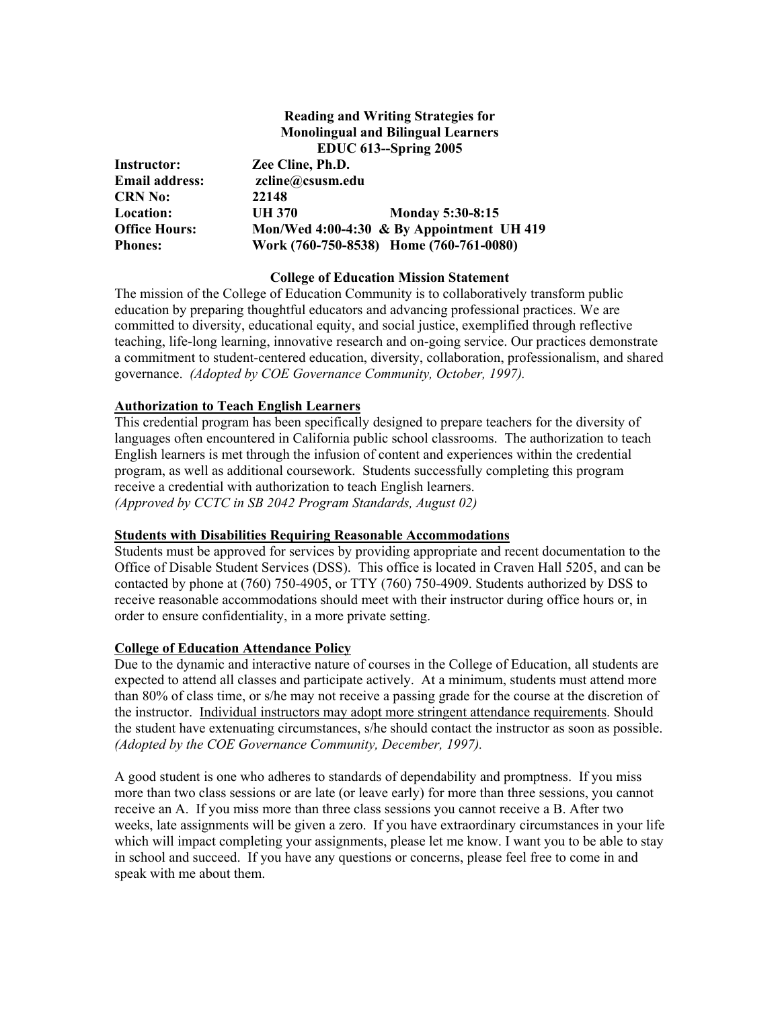# **Reading and Writing Strategies for Monolingual and Bilingual Learners EDUC 613--Spring 2005 Instructor: Zee Cline, Ph.D. Email address: zcline@csusm.edu CRN No: 22148 Location: UH 370 Monday 5:30-8:15 Office Hours: Mon/Wed 4:00-4:30 & By Appointment UH 419 Phones: Work (760-750-8538) Home (760-761-0080)**

# **College of Education Mission Statement**

The mission of the College of Education Community is to collaboratively transform public education by preparing thoughtful educators and advancing professional practices. We are committed to diversity, educational equity, and social justice, exemplified through reflective teaching, life-long learning, innovative research and on-going service. Our practices demonstrate a commitment to student-centered education, diversity, collaboration, professionalism, and shared governance. *(Adopted by COE Governance Community, October, 1997).* 

# **Authorization to Teach English Learners**

This credential program has been specifically designed to prepare teachers for the diversity of languages often encountered in California public school classrooms. The authorization to teach English learners is met through the infusion of content and experiences within the credential program, as well as additional coursework. Students successfully completing this program receive a credential with authorization to teach English learners. *(Approved by CCTC in SB 2042 Program Standards, August 02)*

### **Students with Disabilities Requiring Reasonable Accommodations**

Students must be approved for services by providing appropriate and recent documentation to the Office of Disable Student Services (DSS). This office is located in Craven Hall 5205, and can be contacted by phone at (760) 750-4905, or TTY (760) 750-4909. Students authorized by DSS to receive reasonable accommodations should meet with their instructor during office hours or, in order to ensure confidentiality, in a more private setting.

# **College of Education Attendance Policy**

Due to the dynamic and interactive nature of courses in the College of Education, all students are expected to attend all classes and participate actively. At a minimum, students must attend more than 80% of class time, or s/he may not receive a passing grade for the course at the discretion of the instructor. Individual instructors may adopt more stringent attendance requirements. Should the student have extenuating circumstances, s/he should contact the instructor as soon as possible. *(Adopted by the COE Governance Community, December, 1997).*

A good student is one who adheres to standards of dependability and promptness. If you miss more than two class sessions or are late (or leave early) for more than three sessions, you cannot receive an A. If you miss more than three class sessions you cannot receive a B. After two weeks, late assignments will be given a zero. If you have extraordinary circumstances in your life which will impact completing your assignments, please let me know. I want you to be able to stay in school and succeed. If you have any questions or concerns, please feel free to come in and speak with me about them.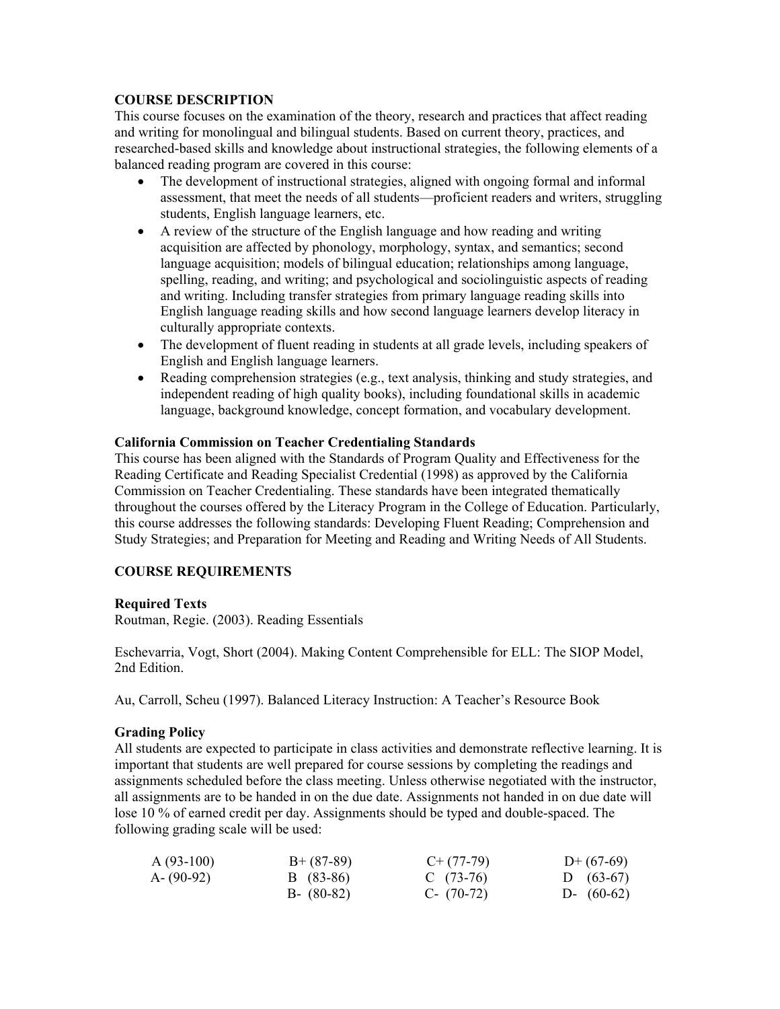# **COURSE DESCRIPTION**

This course focuses on the examination of the theory, research and practices that affect reading and writing for monolingual and bilingual students. Based on current theory, practices, and researched-based skills and knowledge about instructional strategies, the following elements of a balanced reading program are covered in this course:

- The development of instructional strategies, aligned with ongoing formal and informal assessment, that meet the needs of all students—proficient readers and writers, struggling students, English language learners, etc.
- A review of the structure of the English language and how reading and writing acquisition are affected by phonology, morphology, syntax, and semantics; second language acquisition; models of bilingual education; relationships among language, spelling, reading, and writing; and psychological and sociolinguistic aspects of reading and writing. Including transfer strategies from primary language reading skills into English language reading skills and how second language learners develop literacy in culturally appropriate contexts.
- The development of fluent reading in students at all grade levels, including speakers of English and English language learners.
- Reading comprehension strategies (e.g., text analysis, thinking and study strategies, and independent reading of high quality books), including foundational skills in academic language, background knowledge, concept formation, and vocabulary development.

# **California Commission on Teacher Credentialing Standards**

This course has been aligned with the Standards of Program Quality and Effectiveness for the Reading Certificate and Reading Specialist Credential (1998) as approved by the California Commission on Teacher Credentialing. These standards have been integrated thematically throughout the courses offered by the Literacy Program in the College of Education. Particularly, this course addresses the following standards: Developing Fluent Reading; Comprehension and Study Strategies; and Preparation for Meeting and Reading and Writing Needs of All Students.

# **COURSE REQUIREMENTS**

# **Required Texts**

Routman, Regie. (2003). Reading Essentials

Eschevarria, Vogt, Short (2004). Making Content Comprehensible for ELL: The SIOP Model, 2nd Edition.

Au, Carroll, Scheu (1997). Balanced Literacy Instruction: A Teacher's Resource Book

### **Grading Policy**

All students are expected to participate in class activities and demonstrate reflective learning. It is important that students are well prepared for course sessions by completing the readings and assignments scheduled before the class meeting. Unless otherwise negotiated with the instructor, all assignments are to be handed in on the due date. Assignments not handed in on due date will lose 10 % of earned credit per day. Assignments should be typed and double-spaced. The following grading scale will be used:

| $A(93-100)$   | $B+ (87-89)$  | $C+ (77-79)$ | $D+(67-69)$  |
|---------------|---------------|--------------|--------------|
| $A - (90-92)$ | B (83-86)     | C $(73-76)$  | D $(63-67)$  |
|               | $B - (80-82)$ | $C-$ (70-72) | D- $(60-62)$ |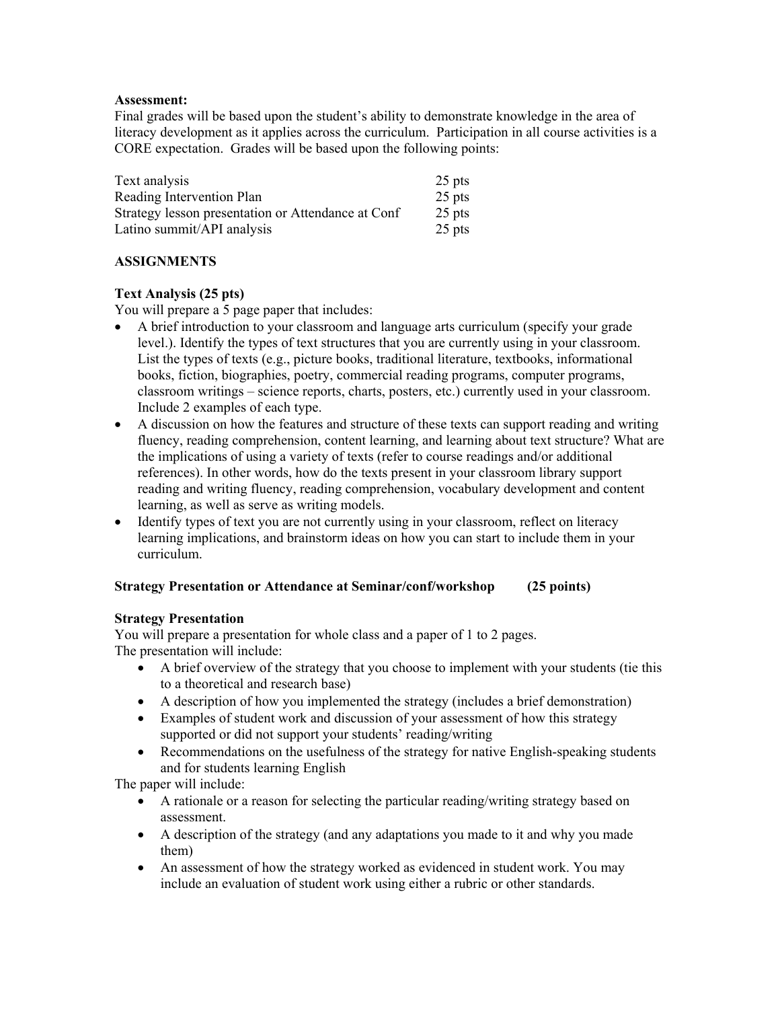### **Assessment:**

Final grades will be based upon the student's ability to demonstrate knowledge in the area of literacy development as it applies across the curriculum. Participation in all course activities is a CORE expectation. Grades will be based upon the following points:

| Text analysis                                      | $25$ pts |
|----------------------------------------------------|----------|
| Reading Intervention Plan                          | 25 pts   |
| Strategy lesson presentation or Attendance at Conf | $25$ pts |
| Latino summit/API analysis                         | 25 pts   |

### **ASSIGNMENTS**

# **Text Analysis (25 pts)**

You will prepare a 5 page paper that includes:

- A brief introduction to your classroom and language arts curriculum (specify your grade level.). Identify the types of text structures that you are currently using in your classroom. List the types of texts (e.g., picture books, traditional literature, textbooks, informational books, fiction, biographies, poetry, commercial reading programs, computer programs, classroom writings – science reports, charts, posters, etc.) currently used in your classroom. Include 2 examples of each type.
- A discussion on how the features and structure of these texts can support reading and writing fluency, reading comprehension, content learning, and learning about text structure? What are the implications of using a variety of texts (refer to course readings and/or additional references). In other words, how do the texts present in your classroom library support reading and writing fluency, reading comprehension, vocabulary development and content learning, as well as serve as writing models.
- Identify types of text you are not currently using in your classroom, reflect on literacy learning implications, and brainstorm ideas on how you can start to include them in your curriculum.

### **Strategy Presentation or Attendance at Seminar/conf/workshop (25 points)**

### **Strategy Presentation**

You will prepare a presentation for whole class and a paper of 1 to 2 pages. The presentation will include:

- A brief overview of the strategy that you choose to implement with your students (tie this to a theoretical and research base)
- A description of how you implemented the strategy (includes a brief demonstration)
- Examples of student work and discussion of your assessment of how this strategy supported or did not support your students' reading/writing
- Recommendations on the usefulness of the strategy for native English-speaking students and for students learning English

The paper will include:

- A rationale or a reason for selecting the particular reading/writing strategy based on assessment.
- A description of the strategy (and any adaptations you made to it and why you made them)
- An assessment of how the strategy worked as evidenced in student work. You may include an evaluation of student work using either a rubric or other standards.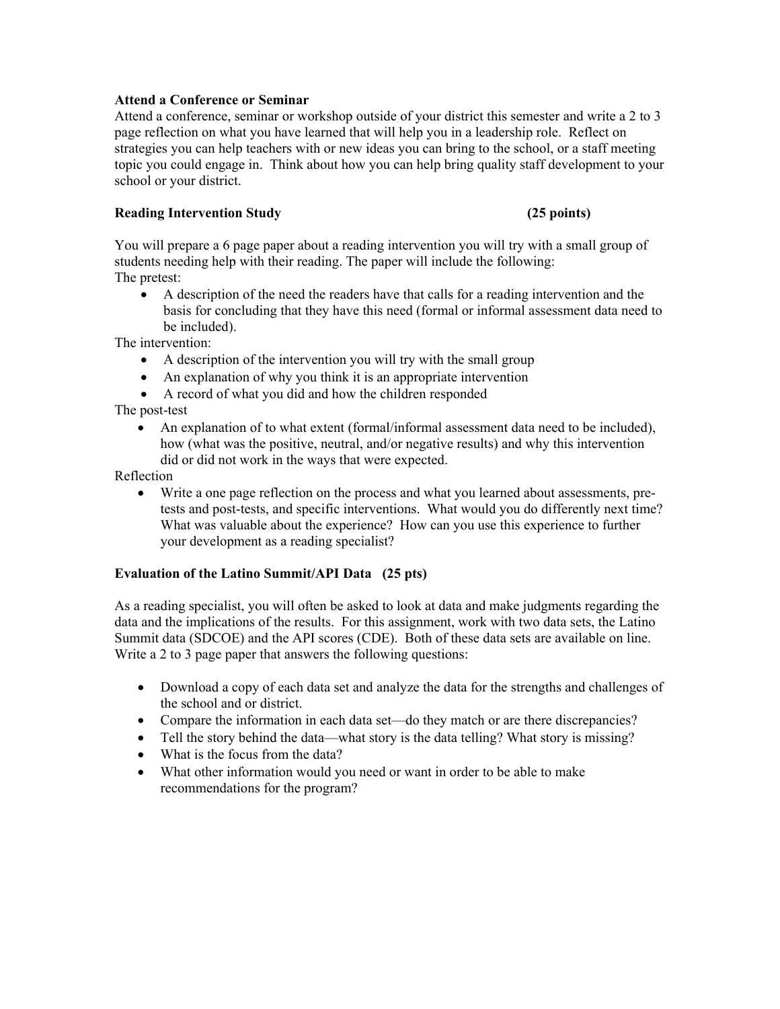### **Attend a Conference or Seminar**

Attend a conference, seminar or workshop outside of your district this semester and write a 2 to 3 page reflection on what you have learned that will help you in a leadership role. Reflect on strategies you can help teachers with or new ideas you can bring to the school, or a staff meeting topic you could engage in. Think about how you can help bring quality staff development to your school or your district.

### **Reading Intervention Study (25 points)**

You will prepare a 6 page paper about a reading intervention you will try with a small group of students needing help with their reading. The paper will include the following: The pretest:

• A description of the need the readers have that calls for a reading intervention and the basis for concluding that they have this need (formal or informal assessment data need to be included).

The intervention:

- A description of the intervention you will try with the small group
- An explanation of why you think it is an appropriate intervention
- A record of what you did and how the children responded

The post-test

• An explanation of to what extent (formal/informal assessment data need to be included), how (what was the positive, neutral, and/or negative results) and why this intervention did or did not work in the ways that were expected.

Reflection

• Write a one page reflection on the process and what you learned about assessments, pretests and post-tests, and specific interventions. What would you do differently next time? What was valuable about the experience? How can you use this experience to further your development as a reading specialist?

### **Evaluation of the Latino Summit/API Data (25 pts)**

As a reading specialist, you will often be asked to look at data and make judgments regarding the data and the implications of the results. For this assignment, work with two data sets, the Latino Summit data (SDCOE) and the API scores (CDE). Both of these data sets are available on line. Write a 2 to 3 page paper that answers the following questions:

- Download a copy of each data set and analyze the data for the strengths and challenges of the school and or district.
- Compare the information in each data set—do they match or are there discrepancies?
- Tell the story behind the data—what story is the data telling? What story is missing?
- What is the focus from the data?
- What other information would you need or want in order to be able to make recommendations for the program?